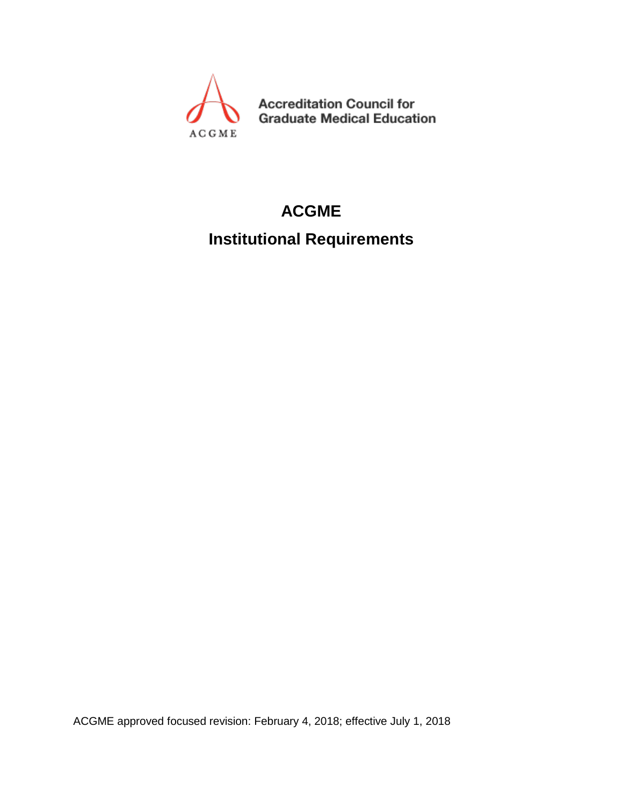

**Accreditation Council for Graduate Medical Education** 

## **ACGME**

## **Institutional Requirements**

ACGME approved focused revision: February 4, 2018; effective July 1, 2018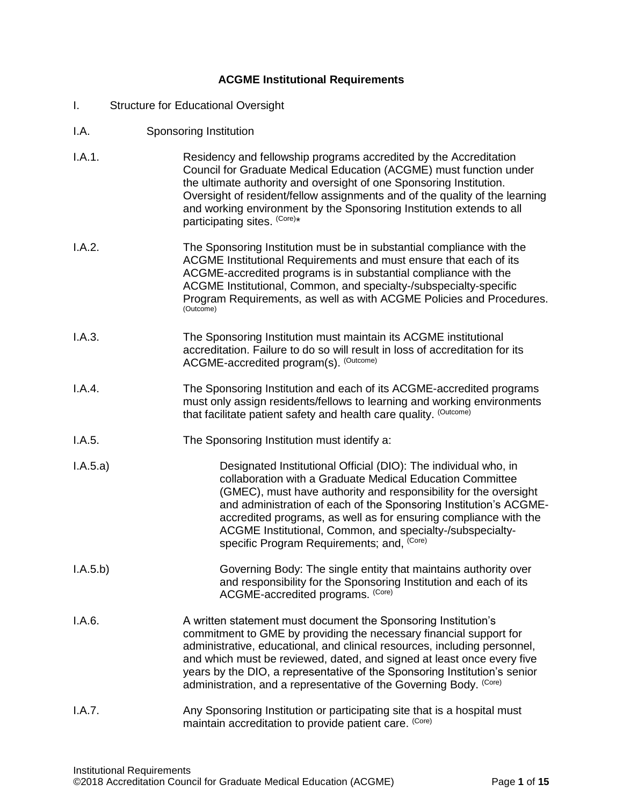## **ACGME Institutional Requirements**

- I. Structure for Educational Oversight
- I.A. Sponsoring Institution
- I.A.1. Residency and fellowship programs accredited by the Accreditation Council for Graduate Medical Education (ACGME) must function under the ultimate authority and oversight of one Sponsoring Institution. Oversight of resident/fellow assignments and of the quality of the learning and working environment by the Sponsoring Institution extends to all participating sites. <sup>(Core)\*</sup>
- I.A.2. The Sponsoring Institution must be in substantial compliance with the ACGME Institutional Requirements and must ensure that each of its ACGME-accredited programs is in substantial compliance with the ACGME Institutional, Common, and specialty-/subspecialty-specific Program Requirements, as well as with ACGME Policies and Procedures. (Outcome)
- I.A.3. The Sponsoring Institution must maintain its ACGME institutional accreditation. Failure to do so will result in loss of accreditation for its ACGME-accredited program(s). <sup>(Outcome)</sup>
- I.A.4. The Sponsoring Institution and each of its ACGME-accredited programs must only assign residents/fellows to learning and working environments that facilitate patient safety and health care quality. (Outcome)
- I.A.5. The Sponsoring Institution must identify a:
- I.A.5.a) Designated Institutional Official (DIO): The individual who, in collaboration with a Graduate Medical Education Committee (GMEC), must have authority and responsibility for the oversight and administration of each of the Sponsoring Institution's ACGMEaccredited programs, as well as for ensuring compliance with the ACGME Institutional, Common, and specialty-/subspecialtyspecific Program Requirements; and, <sup>(Core)</sup>
- I.A.5.b) Governing Body: The single entity that maintains authority over and responsibility for the Sponsoring Institution and each of its ACGME-accredited programs. (Core)
- I.A.6. **A** written statement must document the Sponsoring Institution's commitment to GME by providing the necessary financial support for administrative, educational, and clinical resources, including personnel, and which must be reviewed, dated, and signed at least once every five years by the DIO, a representative of the Sponsoring Institution's senior administration, and a representative of the Governing Body. <sup>(Core)</sup>
- I.A.7. Any Sponsoring Institution or participating site that is a hospital must maintain accreditation to provide patient care. (Core)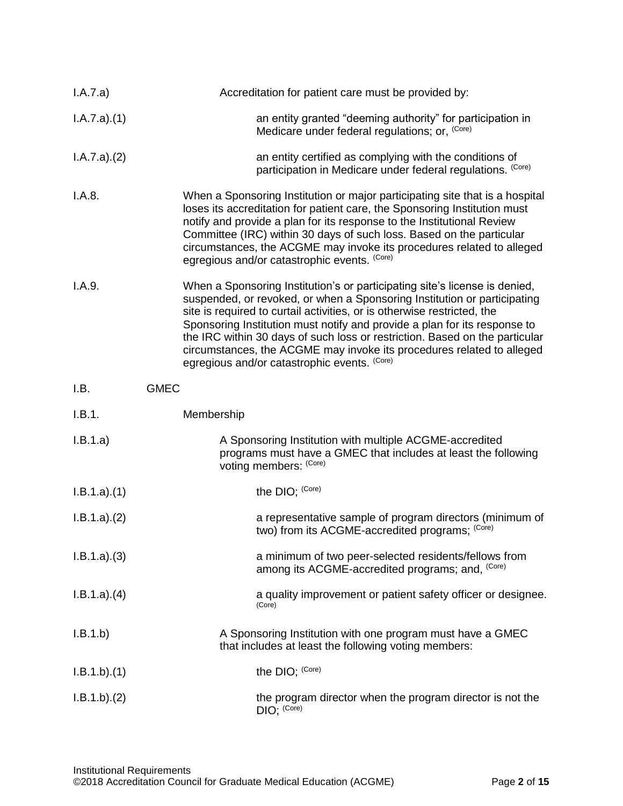| I.A.7.a)    | Accreditation for patient care must be provided by:                                                                                                                                                                                                                                                                                                                                                                                                                                                                    |
|-------------|------------------------------------------------------------------------------------------------------------------------------------------------------------------------------------------------------------------------------------------------------------------------------------------------------------------------------------------------------------------------------------------------------------------------------------------------------------------------------------------------------------------------|
| I.A.7.a)(1) | an entity granted "deeming authority" for participation in<br>Medicare under federal regulations; or, (Core)                                                                                                                                                                                                                                                                                                                                                                                                           |
| I.A.7.a)(2) | an entity certified as complying with the conditions of<br>participation in Medicare under federal regulations. (Core)                                                                                                                                                                                                                                                                                                                                                                                                 |
| I.A.8.      | When a Sponsoring Institution or major participating site that is a hospital<br>loses its accreditation for patient care, the Sponsoring Institution must<br>notify and provide a plan for its response to the Institutional Review<br>Committee (IRC) within 30 days of such loss. Based on the particular<br>circumstances, the ACGME may invoke its procedures related to alleged<br>egregious and/or catastrophic events. (Core)                                                                                   |
| I.A.9.      | When a Sponsoring Institution's or participating site's license is denied,<br>suspended, or revoked, or when a Sponsoring Institution or participating<br>site is required to curtail activities, or is otherwise restricted, the<br>Sponsoring Institution must notify and provide a plan for its response to<br>the IRC within 30 days of such loss or restriction. Based on the particular<br>circumstances, the ACGME may invoke its procedures related to alleged<br>egregious and/or catastrophic events. (Core) |
| I.B.        | <b>GMEC</b>                                                                                                                                                                                                                                                                                                                                                                                                                                                                                                            |
| I.B.1.      | Membership                                                                                                                                                                                                                                                                                                                                                                                                                                                                                                             |
| I.B.1.a)    | A Sponsoring Institution with multiple ACGME-accredited<br>programs must have a GMEC that includes at least the following<br>voting members: (Core)                                                                                                                                                                                                                                                                                                                                                                    |
| I.B.1.a)(1) | the DIO; (Core)                                                                                                                                                                                                                                                                                                                                                                                                                                                                                                        |
| I.B.1.a)(2) | a representative sample of program directors (minimum of<br>two) from its ACGME-accredited programs; (Core)                                                                                                                                                                                                                                                                                                                                                                                                            |
| I.B.1.a)(3) | a minimum of two peer-selected residents/fellows from<br>among its ACGME-accredited programs; and, <sup>(Core)</sup>                                                                                                                                                                                                                                                                                                                                                                                                   |
| I.B.1.a)(4) | a quality improvement or patient safety officer or designee.<br>(Core)                                                                                                                                                                                                                                                                                                                                                                                                                                                 |
| I.B.1.b)    | A Sponsoring Institution with one program must have a GMEC<br>that includes at least the following voting members:                                                                                                                                                                                                                                                                                                                                                                                                     |
| I.B.1.b)(1) | the DIO; (Core)                                                                                                                                                                                                                                                                                                                                                                                                                                                                                                        |
| I.B.1.b)(2) | the program director when the program director is not the<br>$DIO;$ (Core)                                                                                                                                                                                                                                                                                                                                                                                                                                             |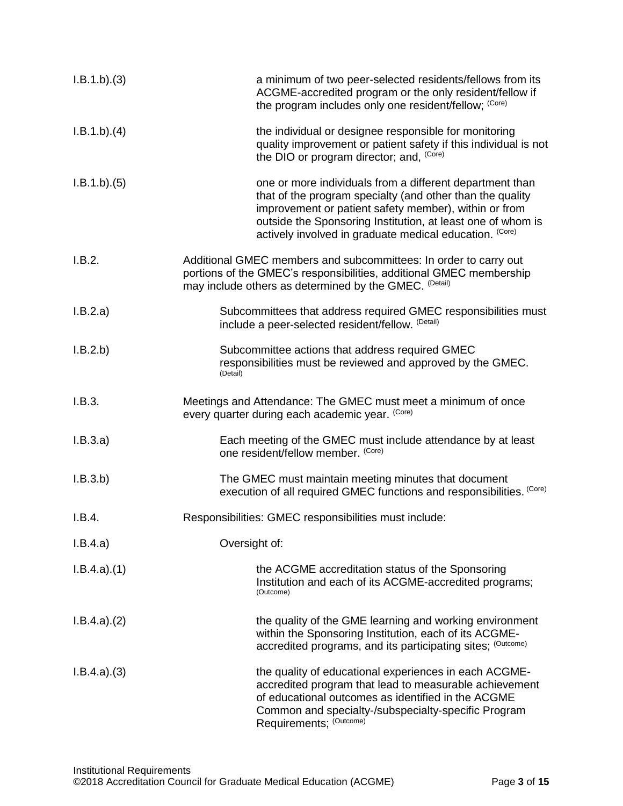| I.B.1.b)(3) | a minimum of two peer-selected residents/fellows from its<br>ACGME-accredited program or the only resident/fellow if<br>the program includes only one resident/fellow; (Core)                                                                                                                            |
|-------------|----------------------------------------------------------------------------------------------------------------------------------------------------------------------------------------------------------------------------------------------------------------------------------------------------------|
| I.B.1.b)(4) | the individual or designee responsible for monitoring<br>quality improvement or patient safety if this individual is not<br>the DIO or program director; and, (Core)                                                                                                                                     |
| I.B.1.b)(5) | one or more individuals from a different department than<br>that of the program specialty (and other than the quality<br>improvement or patient safety member), within or from<br>outside the Sponsoring Institution, at least one of whom is<br>actively involved in graduate medical education. (Core) |
| I.B.2.      | Additional GMEC members and subcommittees: In order to carry out<br>portions of the GMEC's responsibilities, additional GMEC membership<br>may include others as determined by the GMEC. (Detail)                                                                                                        |
| I.B.2.a)    | Subcommittees that address required GMEC responsibilities must<br>include a peer-selected resident/fellow. (Detail)                                                                                                                                                                                      |
| I.B.2.b     | Subcommittee actions that address required GMEC<br>responsibilities must be reviewed and approved by the GMEC.<br>(Detail)                                                                                                                                                                               |
| I.B.3.      | Meetings and Attendance: The GMEC must meet a minimum of once<br>every quarter during each academic year. (Core)                                                                                                                                                                                         |
| I.B.3.a)    | Each meeting of the GMEC must include attendance by at least<br>one resident/fellow member. (Core)                                                                                                                                                                                                       |
| I.B.3.b)    | The GMEC must maintain meeting minutes that document<br>execution of all required GMEC functions and responsibilities. (Core)                                                                                                                                                                            |
| I.B.4.      | Responsibilities: GMEC responsibilities must include:                                                                                                                                                                                                                                                    |
| I.B.4.a)    | Oversight of:                                                                                                                                                                                                                                                                                            |
| I.B.4.a)(1) | the ACGME accreditation status of the Sponsoring<br>Institution and each of its ACGME-accredited programs;<br>(Outcome)                                                                                                                                                                                  |
| I.B.4.a)(2) | the quality of the GME learning and working environment<br>within the Sponsoring Institution, each of its ACGME-<br>accredited programs, and its participating sites; (Outcome)                                                                                                                          |
| I.B.4.a)(3) | the quality of educational experiences in each ACGME-<br>accredited program that lead to measurable achievement<br>of educational outcomes as identified in the ACGME<br>Common and specialty-/subspecialty-specific Program<br>Requirements; (Outcome)                                                  |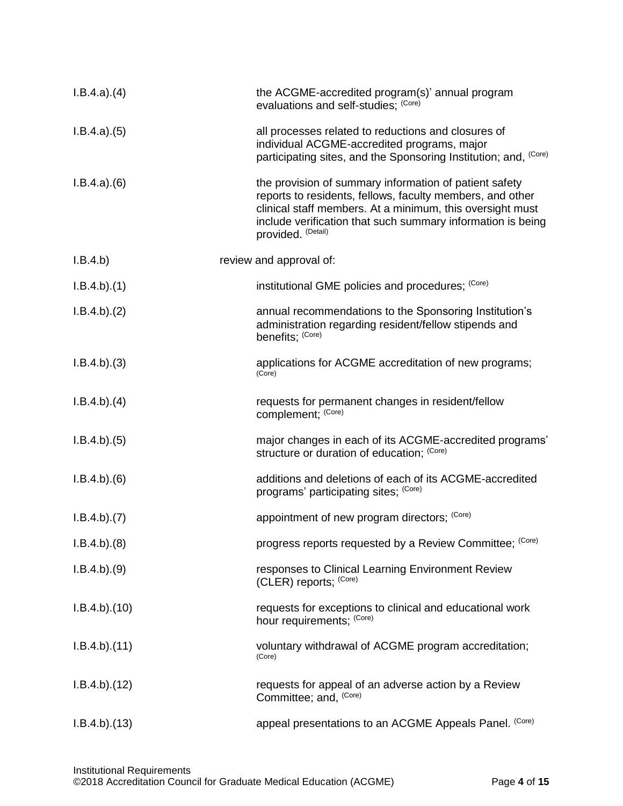| I.B.4.a)(4)  | the ACGME-accredited program(s)' annual program<br>evaluations and self-studies; (Core)                                                                                                                                                                               |
|--------------|-----------------------------------------------------------------------------------------------------------------------------------------------------------------------------------------------------------------------------------------------------------------------|
| I.B.4.a)(5)  | all processes related to reductions and closures of<br>individual ACGME-accredited programs, major<br>participating sites, and the Sponsoring Institution; and, (Core)                                                                                                |
| I.B.4.a)(6)  | the provision of summary information of patient safety<br>reports to residents, fellows, faculty members, and other<br>clinical staff members. At a minimum, this oversight must<br>include verification that such summary information is being<br>provided. (Detail) |
| I.B.4.b)     | review and approval of:                                                                                                                                                                                                                                               |
| I.B.4.b)(1)  | institutional GME policies and procedures; (Core)                                                                                                                                                                                                                     |
| I.B.4.b)(2)  | annual recommendations to the Sponsoring Institution's<br>administration regarding resident/fellow stipends and<br>benefits; (Core)                                                                                                                                   |
| I.B.4.b)(3)  | applications for ACGME accreditation of new programs;<br>(Core)                                                                                                                                                                                                       |
| I.B.4.b)(4)  | requests for permanent changes in resident/fellow<br>complement; (Core)                                                                                                                                                                                               |
| I.B.4.b)(5)  | major changes in each of its ACGME-accredited programs'<br>structure or duration of education; (Core)                                                                                                                                                                 |
| I.B.4.b)(6)  | additions and deletions of each of its ACGME-accredited<br>programs' participating sites; (Core)                                                                                                                                                                      |
| I.B.4.b)(7)  | appointment of new program directors; (Core)                                                                                                                                                                                                                          |
| I.B.4.b)(8)  | progress reports requested by a Review Committee; (Core)                                                                                                                                                                                                              |
| I.B.4.b)(9)  | responses to Clinical Learning Environment Review<br>(CLER) reports; (Core)                                                                                                                                                                                           |
| I.B.4.b)(10) | requests for exceptions to clinical and educational work<br>hour requirements; (Core)                                                                                                                                                                                 |
| I.B.4.b)(11) | voluntary withdrawal of ACGME program accreditation;<br>(Core)                                                                                                                                                                                                        |
| I.B.4.b)(12) | requests for appeal of an adverse action by a Review<br>Committee; and, (Core)                                                                                                                                                                                        |
| I.B.4.b)(13) | appeal presentations to an ACGME Appeals Panel. (Core)                                                                                                                                                                                                                |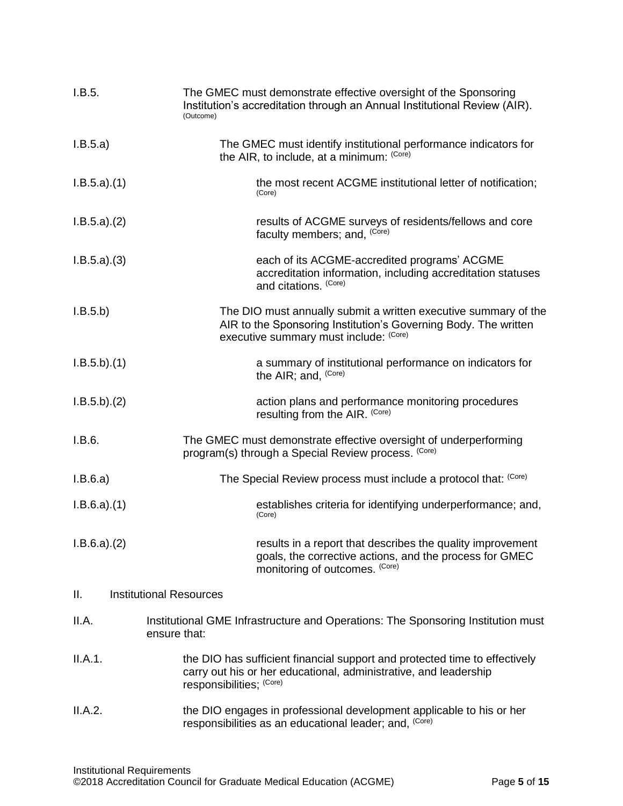| I.B.5.      | The GMEC must demonstrate effective oversight of the Sponsoring<br>Institution's accreditation through an Annual Institutional Review (AIR).<br>(Outcome)                    |
|-------------|------------------------------------------------------------------------------------------------------------------------------------------------------------------------------|
| I.B.5.a)    | The GMEC must identify institutional performance indicators for<br>the AIR, to include, at a minimum: (Core)                                                                 |
| I.B.5.a)(1) | the most recent ACGME institutional letter of notification;<br>(Core)                                                                                                        |
| I.B.5.a)(2) | results of ACGME surveys of residents/fellows and core<br>faculty members; and, (Core)                                                                                       |
| I.B.5.a)(3) | each of its ACGME-accredited programs' ACGME<br>accreditation information, including accreditation statuses<br>and citations. (Core)                                         |
| I.B.5.b)    | The DIO must annually submit a written executive summary of the<br>AIR to the Sponsoring Institution's Governing Body. The written<br>executive summary must include: (Core) |
| I.B.5.b)(1) | a summary of institutional performance on indicators for<br>the AIR; and, (Core)                                                                                             |
| I.B.5.b)(2) | action plans and performance monitoring procedures<br>resulting from the AIR. (Core)                                                                                         |
| I.B.6.      | The GMEC must demonstrate effective oversight of underperforming<br>program(s) through a Special Review process. (Core)                                                      |
| I.B.6.a)    | The Special Review process must include a protocol that: (Core)                                                                                                              |
| I.B.6.a)(1) | establishes criteria for identifying underperformance; and,<br>(Core)                                                                                                        |
| I.B.6.a)(2) | results in a report that describes the quality improvement<br>goals, the corrective actions, and the process for GMEC<br>monitoring of outcomes. (Core)                      |
| ΙΙ.         | <b>Institutional Resources</b>                                                                                                                                               |
| II.A.       | Institutional GME Infrastructure and Operations: The Sponsoring Institution must<br>ensure that:                                                                             |
| II.A.1.     | the DIO has sufficient financial support and protected time to effectively<br>carry out his or her educational, administrative, and leadership<br>responsibilities; (Core)   |
| II.A.2.     | the DIO engages in professional development applicable to his or her<br>responsibilities as an educational leader; and, (Core)                                               |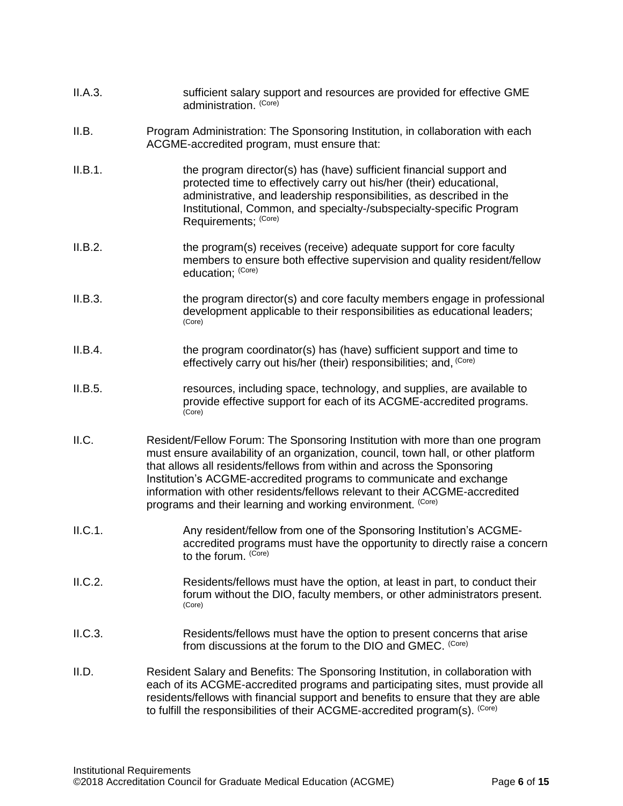- II.A.3. sufficient salary support and resources are provided for effective GME administration. <sup>(Core)</sup>
- II.B. Program Administration: The Sponsoring Institution, in collaboration with each ACGME-accredited program, must ensure that:
- II.B.1. the program director(s) has (have) sufficient financial support and protected time to effectively carry out his/her (their) educational, administrative, and leadership responsibilities, as described in the Institutional, Common, and specialty-/subspecialty-specific Program Requirements; (Core)
- II.B.2. the program(s) receives (receive) adequate support for core faculty members to ensure both effective supervision and quality resident/fellow education; (Core)
- II.B.3. the program director(s) and core faculty members engage in professional development applicable to their responsibilities as educational leaders; (Core)
- II.B.4. the program coordinator(s) has (have) sufficient support and time to effectively carry out his/her (their) responsibilities; and, (Core)
- II.B.5. resources, including space, technology, and supplies, are available to provide effective support for each of its ACGME-accredited programs. (Core)
- II.C. Resident/Fellow Forum: The Sponsoring Institution with more than one program must ensure availability of an organization, council, town hall, or other platform that allows all residents/fellows from within and across the Sponsoring Institution's ACGME-accredited programs to communicate and exchange information with other residents/fellows relevant to their ACGME-accredited programs and their learning and working environment. (Core)
- II.C.1. Any resident/fellow from one of the Sponsoring Institution's ACGMEaccredited programs must have the opportunity to directly raise a concern to the forum.  $(Core)$
- II.C.2. Residents/fellows must have the option, at least in part, to conduct their forum without the DIO, faculty members, or other administrators present. (Core)
- II.C.3. Residents/fellows must have the option to present concerns that arise from discussions at the forum to the DIO and GMEC. (Core)
- II.D. Resident Salary and Benefits: The Sponsoring Institution, in collaboration with each of its ACGME-accredited programs and participating sites, must provide all residents/fellows with financial support and benefits to ensure that they are able to fulfill the responsibilities of their ACGME-accredited program(s). <sup>(Core)</sup>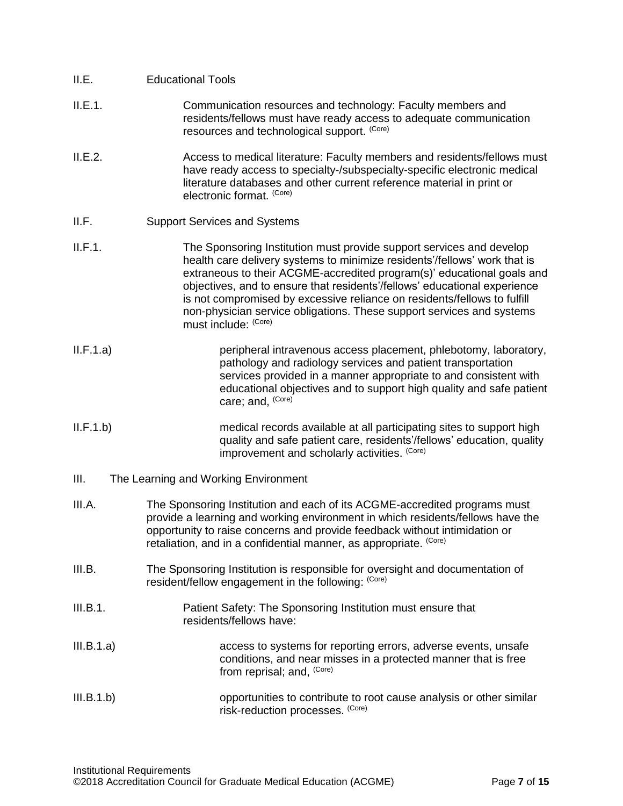- II.E.1. Communication resources and technology: Faculty members and residents/fellows must have ready access to adequate communication resources and technological support. (Core)
- II.E.2. Access to medical literature: Faculty members and residents/fellows must have ready access to specialty-/subspecialty-specific electronic medical literature databases and other current reference material in print or electronic format. (Core)
- II.F. Support Services and Systems
- II.F.1. The Sponsoring Institution must provide support services and develop health care delivery systems to minimize residents'/fellows' work that is extraneous to their ACGME-accredited program(s)' educational goals and objectives, and to ensure that residents'/fellows' educational experience is not compromised by excessive reliance on residents/fellows to fulfill non-physician service obligations. These support services and systems must include: (Core)
- II.F.1.a) peripheral intravenous access placement, phlebotomy, laboratory, pathology and radiology services and patient transportation services provided in a manner appropriate to and consistent with educational objectives and to support high quality and safe patient care; and, <sup>(Core)</sup>
- II.F.1.b) medical records available at all participating sites to support high quality and safe patient care, residents'/fellows' education, quality improvement and scholarly activities. <sup>(Core)</sup>
- III. The Learning and Working Environment
- III.A. The Sponsoring Institution and each of its ACGME-accredited programs must provide a learning and working environment in which residents/fellows have the opportunity to raise concerns and provide feedback without intimidation or retaliation, and in a confidential manner, as appropriate. (Core)
- III.B. The Sponsoring Institution is responsible for oversight and documentation of resident/fellow engagement in the following: <sup>(Core)</sup>
- III.B.1. Patient Safety: The Sponsoring Institution must ensure that residents/fellows have:
- III.B.1.a) access to systems for reporting errors, adverse events, unsafe conditions, and near misses in a protected manner that is free from reprisal; and, <sup>(Core)</sup>
- III.B.1.b) opportunities to contribute to root cause analysis or other similar risk-reduction processes. (Core)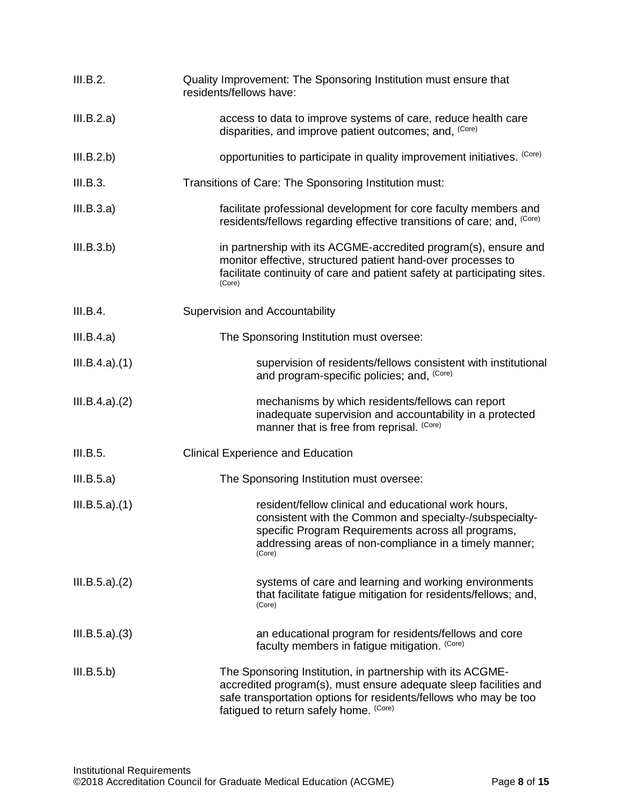| III.B.2.      | Quality Improvement: The Sponsoring Institution must ensure that<br>residents/fellows have:                                                                                                                                                  |
|---------------|----------------------------------------------------------------------------------------------------------------------------------------------------------------------------------------------------------------------------------------------|
| III.B.2.a)    | access to data to improve systems of care, reduce health care<br>disparities, and improve patient outcomes; and, (Core)                                                                                                                      |
| III.B.2.b)    | opportunities to participate in quality improvement initiatives. (Core)                                                                                                                                                                      |
| III.B.3.      | Transitions of Care: The Sponsoring Institution must:                                                                                                                                                                                        |
| III.B.3.a)    | facilitate professional development for core faculty members and<br>residents/fellows regarding effective transitions of care; and, (Core)                                                                                                   |
| III.B.3.b)    | in partnership with its ACGME-accredited program(s), ensure and<br>monitor effective, structured patient hand-over processes to<br>facilitate continuity of care and patient safety at participating sites.<br>(Core)                        |
| III.B.4.      | Supervision and Accountability                                                                                                                                                                                                               |
| III.B.4.a)    | The Sponsoring Institution must oversee:                                                                                                                                                                                                     |
| III.B.4.a)(1) | supervision of residents/fellows consistent with institutional<br>and program-specific policies; and, (Core)                                                                                                                                 |
| III.B.4.a)(2) | mechanisms by which residents/fellows can report<br>inadequate supervision and accountability in a protected<br>manner that is free from reprisal. (Core)                                                                                    |
| III.B.5.      | <b>Clinical Experience and Education</b>                                                                                                                                                                                                     |
| III.B.5.a)    | The Sponsoring Institution must oversee:                                                                                                                                                                                                     |
| III.B.5.a)(1) | resident/fellow clinical and educational work hours,<br>consistent with the Common and specialty-/subspecialty-<br>specific Program Requirements across all programs,<br>addressing areas of non-compliance in a timely manner;<br>(Core)    |
| III.B.5.a)(2) | systems of care and learning and working environments<br>that facilitate fatigue mitigation for residents/fellows; and,<br>(Core)                                                                                                            |
| III.B.5.a)(3) | an educational program for residents/fellows and core<br>faculty members in fatigue mitigation. (Core)                                                                                                                                       |
| III.B.5.b)    | The Sponsoring Institution, in partnership with its ACGME-<br>accredited program(s), must ensure adequate sleep facilities and<br>safe transportation options for residents/fellows who may be too<br>fatigued to return safely home. (Core) |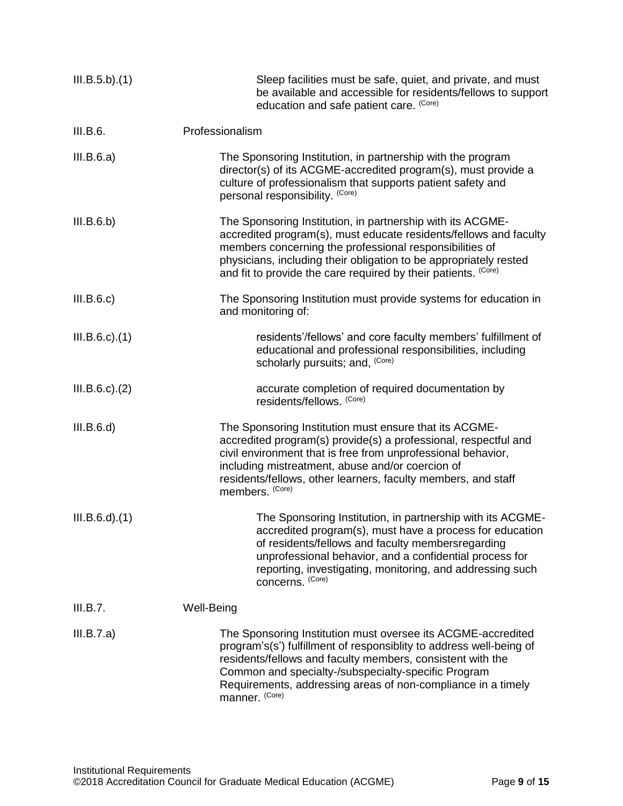| III.B.5.b)(1)        | Sleep facilities must be safe, quiet, and private, and must<br>be available and accessible for residents/fellows to support<br>education and safe patient care. (Core)                                                                                                                                                                     |
|----------------------|--------------------------------------------------------------------------------------------------------------------------------------------------------------------------------------------------------------------------------------------------------------------------------------------------------------------------------------------|
| III.B.6.             | Professionalism                                                                                                                                                                                                                                                                                                                            |
| III.B.6.a)           | The Sponsoring Institution, in partnership with the program<br>director(s) of its ACGME-accredited program(s), must provide a<br>culture of professionalism that supports patient safety and<br>personal responsibility. (Core)                                                                                                            |
| III.B.6.b)           | The Sponsoring Institution, in partnership with its ACGME-<br>accredited program(s), must educate residents/fellows and faculty<br>members concerning the professional responsibilities of<br>physicians, including their obligation to be appropriately rested<br>and fit to provide the care required by their patients. (Core)          |
| III.B.6.c)           | The Sponsoring Institution must provide systems for education in<br>and monitoring of:                                                                                                                                                                                                                                                     |
| $III.B.6.c$ ). $(1)$ | residents'/fellows' and core faculty members' fulfillment of<br>educational and professional responsibilities, including<br>scholarly pursuits; and, (Core)                                                                                                                                                                                |
| $III.B.6.c$ ). $(2)$ | accurate completion of required documentation by<br>residents/fellows. (Core)                                                                                                                                                                                                                                                              |
| III.B.6.d)           | The Sponsoring Institution must ensure that its ACGME-<br>accredited program(s) provide(s) a professional, respectful and<br>civil environment that is free from unprofessional behavior,<br>including mistreatment, abuse and/or coercion of<br>residents/fellows, other learners, faculty members, and staff<br>members. (Core)          |
| $III.B.6.d$ $.(1)$   | The Sponsoring Institution, in partnership with its ACGME-<br>accredited program(s), must have a process for education<br>of residents/fellows and faculty membersregarding<br>unprofessional behavior, and a confidential process for<br>reporting, investigating, monitoring, and addressing such<br>concerns. (Core)                    |
| III.B.7.             | Well-Being                                                                                                                                                                                                                                                                                                                                 |
| III.B.7.a)           | The Sponsoring Institution must oversee its ACGME-accredited<br>program's(s') fulfillment of responsiblity to address well-being of<br>residents/fellows and faculty members, consistent with the<br>Common and specialty-/subspecialty-specific Program<br>Requirements, addressing areas of non-compliance in a timely<br>manner. (Core) |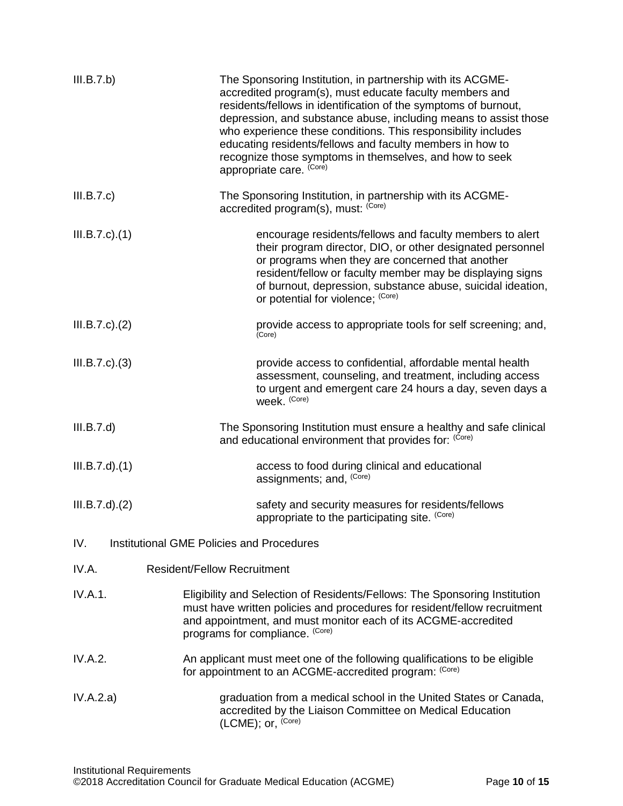| III.B.7.b)           | The Sponsoring Institution, in partnership with its ACGME-<br>accredited program(s), must educate faculty members and<br>residents/fellows in identification of the symptoms of burnout,<br>depression, and substance abuse, including means to assist those<br>who experience these conditions. This responsibility includes<br>educating residents/fellows and faculty members in how to<br>recognize those symptoms in themselves, and how to seek<br>appropriate care. (Core) |
|----------------------|-----------------------------------------------------------------------------------------------------------------------------------------------------------------------------------------------------------------------------------------------------------------------------------------------------------------------------------------------------------------------------------------------------------------------------------------------------------------------------------|
| III.B.7.c)           | The Sponsoring Institution, in partnership with its ACGME-<br>accredited program(s), must: (Core)                                                                                                                                                                                                                                                                                                                                                                                 |
| $III.B.7.c$ ). $(1)$ | encourage residents/fellows and faculty members to alert<br>their program director, DIO, or other designated personnel<br>or programs when they are concerned that another<br>resident/fellow or faculty member may be displaying signs<br>of burnout, depression, substance abuse, suicidal ideation,<br>or potential for violence; (Core)                                                                                                                                       |
| $III.B.7.c$ ). $(2)$ | provide access to appropriate tools for self screening; and,<br>(Core)                                                                                                                                                                                                                                                                                                                                                                                                            |
| $III.B.7.c$ ). $(3)$ | provide access to confidential, affordable mental health<br>assessment, counseling, and treatment, including access<br>to urgent and emergent care 24 hours a day, seven days a<br>week. (Core)                                                                                                                                                                                                                                                                                   |
| III.B.7.d)           | The Sponsoring Institution must ensure a healthy and safe clinical<br>and educational environment that provides for: (Core)                                                                                                                                                                                                                                                                                                                                                       |
| $III.B.7.d$ $.(1)$   | access to food during clinical and educational<br>assignments; and, (Core)                                                                                                                                                                                                                                                                                                                                                                                                        |
| $III.B.7.d$ $.(2)$   | safety and security measures for residents/fellows<br>appropriate to the participating site. (Core)                                                                                                                                                                                                                                                                                                                                                                               |
| IV.                  | Institutional GME Policies and Procedures                                                                                                                                                                                                                                                                                                                                                                                                                                         |
| IV.A.                | <b>Resident/Fellow Recruitment</b>                                                                                                                                                                                                                                                                                                                                                                                                                                                |
| IV.A.1.              | Eligibility and Selection of Residents/Fellows: The Sponsoring Institution<br>must have written policies and procedures for resident/fellow recruitment<br>and appointment, and must monitor each of its ACGME-accredited<br>programs for compliance. (Core)                                                                                                                                                                                                                      |
| IV.A.2.              | An applicant must meet one of the following qualifications to be eligible<br>for appointment to an ACGME-accredited program: (Core)                                                                                                                                                                                                                                                                                                                                               |
| IV.A.2.a)            | graduation from a medical school in the United States or Canada,<br>accredited by the Liaison Committee on Medical Education<br>(LCME); or, (Core)                                                                                                                                                                                                                                                                                                                                |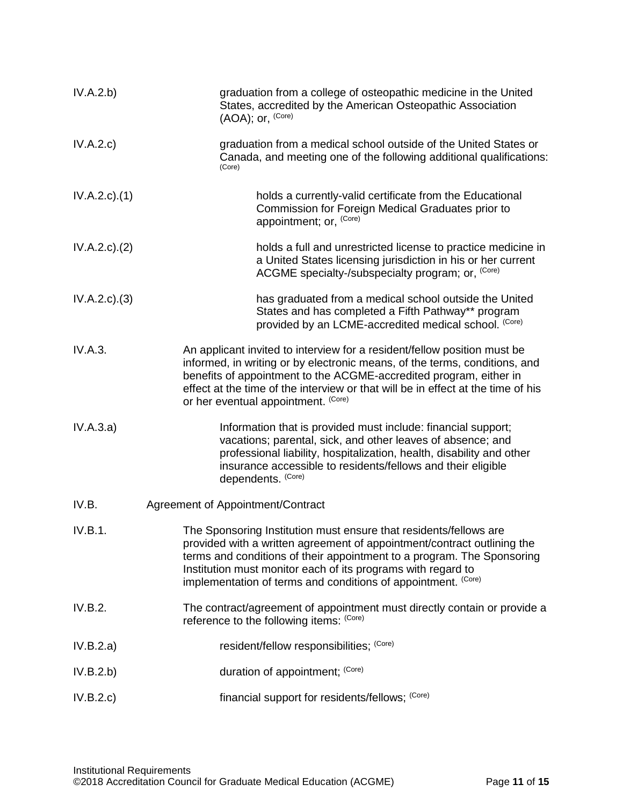| IV.A.2.b)          | graduation from a college of osteopathic medicine in the United<br>States, accredited by the American Osteopathic Association<br>(AOA); or, (Core)                                                                                                                                                                                                      |
|--------------------|---------------------------------------------------------------------------------------------------------------------------------------------------------------------------------------------------------------------------------------------------------------------------------------------------------------------------------------------------------|
| IV.A.2.c)          | graduation from a medical school outside of the United States or<br>Canada, and meeting one of the following additional qualifications:<br>(Core)                                                                                                                                                                                                       |
| $IV.A.2.c$ . $(1)$ | holds a currently-valid certificate from the Educational<br>Commission for Foreign Medical Graduates prior to<br>appointment; or, (Core)                                                                                                                                                                                                                |
| IV.A.2.c.2()       | holds a full and unrestricted license to practice medicine in<br>a United States licensing jurisdiction in his or her current<br>ACGME specialty-/subspecialty program; or, <sup>(Core)</sup>                                                                                                                                                           |
| IV.A.2.c.3)        | has graduated from a medical school outside the United<br>States and has completed a Fifth Pathway** program<br>provided by an LCME-accredited medical school. (Core)                                                                                                                                                                                   |
| IV.A.3.            | An applicant invited to interview for a resident/fellow position must be<br>informed, in writing or by electronic means, of the terms, conditions, and<br>benefits of appointment to the ACGME-accredited program, either in<br>effect at the time of the interview or that will be in effect at the time of his<br>or her eventual appointment. (Core) |
| IV.A.3.a)          | Information that is provided must include: financial support;<br>vacations; parental, sick, and other leaves of absence; and<br>professional liability, hospitalization, health, disability and other<br>insurance accessible to residents/fellows and their eligible<br>dependents. (Core)                                                             |
| IV.B.              | Agreement of Appointment/Contract                                                                                                                                                                                                                                                                                                                       |
| IV.B.1.            | The Sponsoring Institution must ensure that residents/fellows are<br>provided with a written agreement of appointment/contract outlining the<br>terms and conditions of their appointment to a program. The Sponsoring<br>Institution must monitor each of its programs with regard to<br>implementation of terms and conditions of appointment. (Core) |
| IV.B.2.            | The contract/agreement of appointment must directly contain or provide a<br>reference to the following items: (Core)                                                                                                                                                                                                                                    |
| IV.B.2.a)          | resident/fellow responsibilities; (Core)                                                                                                                                                                                                                                                                                                                |
| IV.B.2.b)          | duration of appointment; (Core)                                                                                                                                                                                                                                                                                                                         |
| IV.B.2.c)          | financial support for residents/fellows; (Core)                                                                                                                                                                                                                                                                                                         |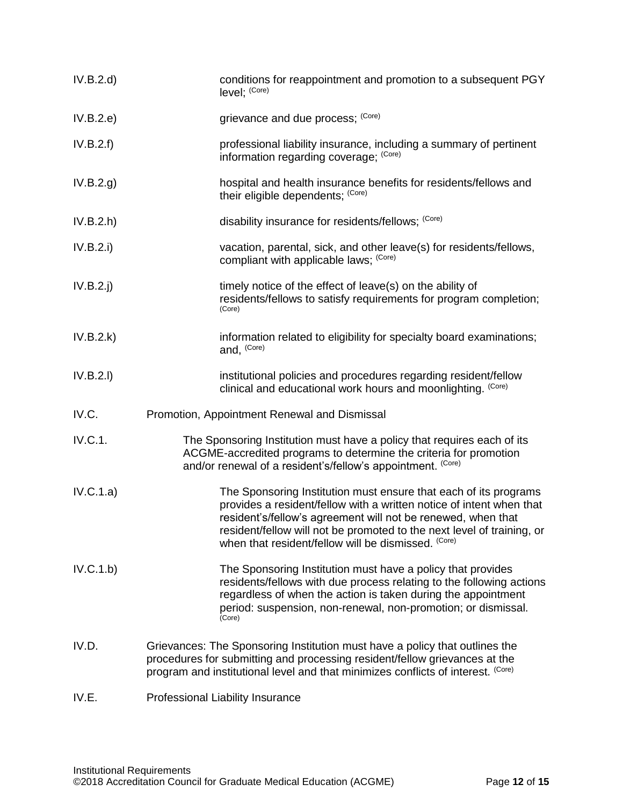| IV.B.2.d    | conditions for reappointment and promotion to a subsequent PGY<br>level; (Core)                                                                                                                                                                                                                                                           |
|-------------|-------------------------------------------------------------------------------------------------------------------------------------------------------------------------------------------------------------------------------------------------------------------------------------------------------------------------------------------|
| IV.B.2.e)   | grievance and due process; (Core)                                                                                                                                                                                                                                                                                                         |
| IV.B.2.f)   | professional liability insurance, including a summary of pertinent<br>information regarding coverage; (Core)                                                                                                                                                                                                                              |
| IV.B.2.g.   | hospital and health insurance benefits for residents/fellows and<br>their eligible dependents; (Core)                                                                                                                                                                                                                                     |
| IV.B.2.h    | disability insurance for residents/fellows; (Core)                                                                                                                                                                                                                                                                                        |
| IV.B.2.i)   | vacation, parental, sick, and other leave(s) for residents/fellows,<br>compliant with applicable laws; (Core)                                                                                                                                                                                                                             |
| $IV.B.2.$ j | timely notice of the effect of leave(s) on the ability of<br>residents/fellows to satisfy requirements for program completion;<br>(Core)                                                                                                                                                                                                  |
| IV.B.2.k)   | information related to eligibility for specialty board examinations;<br>and, (Core)                                                                                                                                                                                                                                                       |
| IV.B.2.I)   | institutional policies and procedures regarding resident/fellow<br>clinical and educational work hours and moonlighting. (Core)                                                                                                                                                                                                           |
| IV.C.       | Promotion, Appointment Renewal and Dismissal                                                                                                                                                                                                                                                                                              |
| IV.C.1.     | The Sponsoring Institution must have a policy that requires each of its<br>ACGME-accredited programs to determine the criteria for promotion<br>and/or renewal of a resident's/fellow's appointment. (Core)                                                                                                                               |
| IV.C.1.a)   | The Sponsoring Institution must ensure that each of its programs<br>provides a resident/fellow with a written notice of intent when that<br>resident's/fellow's agreement will not be renewed, when that<br>resident/fellow will not be promoted to the next level of training, or<br>when that resident/fellow will be dismissed. (Core) |
| IV.C.1.b)   | The Sponsoring Institution must have a policy that provides<br>residents/fellows with due process relating to the following actions<br>regardless of when the action is taken during the appointment<br>period: suspension, non-renewal, non-promotion; or dismissal.<br>(Core)                                                           |
| IV.D.       | Grievances: The Sponsoring Institution must have a policy that outlines the<br>procedures for submitting and processing resident/fellow grievances at the<br>program and institutional level and that minimizes conflicts of interest. (Core)                                                                                             |
| IV.E.       | Professional Liability Insurance                                                                                                                                                                                                                                                                                                          |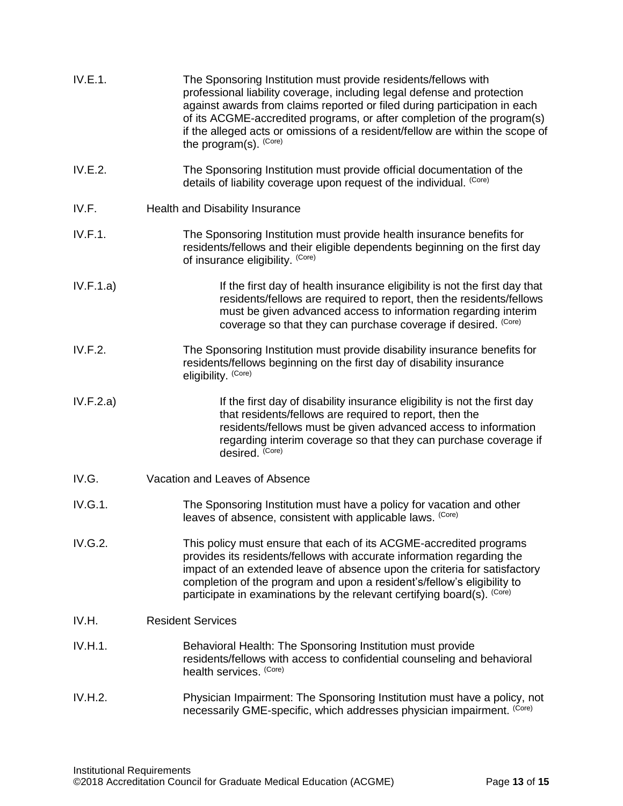| IV.E.1.   | The Sponsoring Institution must provide residents/fellows with<br>professional liability coverage, including legal defense and protection<br>against awards from claims reported or filed during participation in each<br>of its ACGME-accredited programs, or after completion of the program(s)<br>if the alleged acts or omissions of a resident/fellow are within the scope of<br>the program(s). (Core) |
|-----------|--------------------------------------------------------------------------------------------------------------------------------------------------------------------------------------------------------------------------------------------------------------------------------------------------------------------------------------------------------------------------------------------------------------|
| IV.E.2.   | The Sponsoring Institution must provide official documentation of the<br>details of liability coverage upon request of the individual. (Core)                                                                                                                                                                                                                                                                |
| IV.F.     | Health and Disability Insurance                                                                                                                                                                                                                                                                                                                                                                              |
| IV.F.1.   | The Sponsoring Institution must provide health insurance benefits for<br>residents/fellows and their eligible dependents beginning on the first day<br>of insurance eligibility. (Core)                                                                                                                                                                                                                      |
| IV.F.1.a) | If the first day of health insurance eligibility is not the first day that<br>residents/fellows are required to report, then the residents/fellows<br>must be given advanced access to information regarding interim<br>coverage so that they can purchase coverage if desired. (Core)                                                                                                                       |
| IV.F.2.   | The Sponsoring Institution must provide disability insurance benefits for<br>residents/fellows beginning on the first day of disability insurance<br>eligibility. (Core)                                                                                                                                                                                                                                     |
| IV.F.2.a) | If the first day of disability insurance eligibility is not the first day<br>that residents/fellows are required to report, then the<br>residents/fellows must be given advanced access to information<br>regarding interim coverage so that they can purchase coverage if<br>desired. (Core)                                                                                                                |
| IV.G.     | Vacation and Leaves of Absence                                                                                                                                                                                                                                                                                                                                                                               |
| IV.G.1.   | The Sponsoring Institution must have a policy for vacation and other<br>leaves of absence, consistent with applicable laws. (Core)                                                                                                                                                                                                                                                                           |
| IV.G.2.   | This policy must ensure that each of its ACGME-accredited programs<br>provides its residents/fellows with accurate information regarding the<br>impact of an extended leave of absence upon the criteria for satisfactory<br>completion of the program and upon a resident's/fellow's eligibility to<br>participate in examinations by the relevant certifying board(s). (Core)                              |
| IV.H.     | <b>Resident Services</b>                                                                                                                                                                                                                                                                                                                                                                                     |
| IV.H.1.   | Behavioral Health: The Sponsoring Institution must provide<br>residents/fellows with access to confidential counseling and behavioral<br>health services. (Core)                                                                                                                                                                                                                                             |
| IV.H.2.   | Physician Impairment: The Sponsoring Institution must have a policy, not<br>necessarily GME-specific, which addresses physician impairment. (Core)                                                                                                                                                                                                                                                           |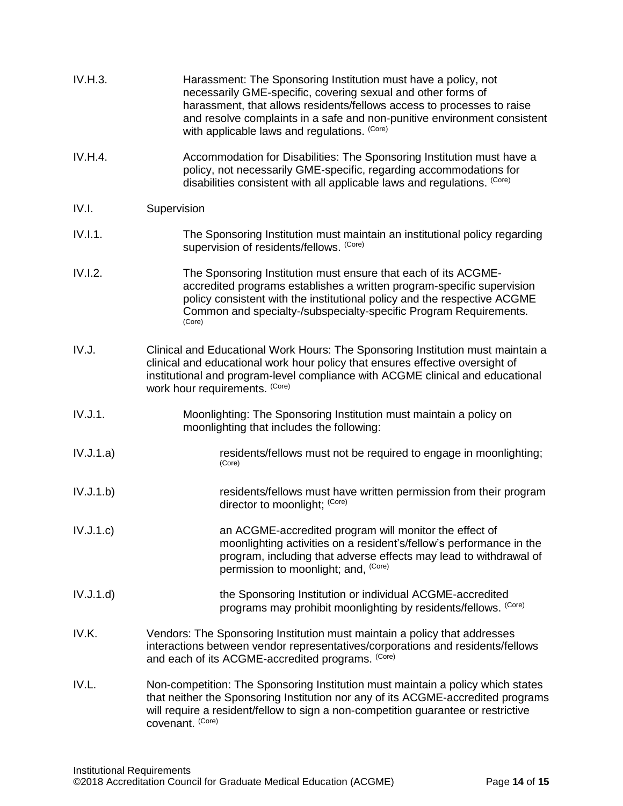| IV.H.3.   | Harassment: The Sponsoring Institution must have a policy, not<br>necessarily GME-specific, covering sexual and other forms of<br>harassment, that allows residents/fellows access to processes to raise<br>and resolve complaints in a safe and non-punitive environment consistent<br>with applicable laws and regulations. (Core) |
|-----------|--------------------------------------------------------------------------------------------------------------------------------------------------------------------------------------------------------------------------------------------------------------------------------------------------------------------------------------|
| IV.H.4.   | Accommodation for Disabilities: The Sponsoring Institution must have a<br>policy, not necessarily GME-specific, regarding accommodations for<br>disabilities consistent with all applicable laws and regulations. (Core)                                                                                                             |
| IV.I.     | Supervision                                                                                                                                                                                                                                                                                                                          |
| IV.I.1.   | The Sponsoring Institution must maintain an institutional policy regarding<br>supervision of residents/fellows. (Core)                                                                                                                                                                                                               |
| IV.I.2.   | The Sponsoring Institution must ensure that each of its ACGME-<br>accredited programs establishes a written program-specific supervision<br>policy consistent with the institutional policy and the respective ACGME<br>Common and specialty-/subspecialty-specific Program Requirements.<br>(Core)                                  |
| IV.J.     | Clinical and Educational Work Hours: The Sponsoring Institution must maintain a<br>clinical and educational work hour policy that ensures effective oversight of<br>institutional and program-level compliance with ACGME clinical and educational<br>work hour requirements. (Core)                                                 |
| IV.J.1.   | Moonlighting: The Sponsoring Institution must maintain a policy on<br>moonlighting that includes the following:                                                                                                                                                                                                                      |
| IV.J.1.a) | residents/fellows must not be required to engage in moonlighting;<br>(Core)                                                                                                                                                                                                                                                          |
| IV.J.1.b) | residents/fellows must have written permission from their program<br>director to moonlight; (Core)                                                                                                                                                                                                                                   |
| IV.J.1.c) | an ACGME-accredited program will monitor the effect of<br>moonlighting activities on a resident's/fellow's performance in the<br>program, including that adverse effects may lead to withdrawal of<br>permission to moonlight; and, (Core)                                                                                           |
| IV.J.1.d) | the Sponsoring Institution or individual ACGME-accredited<br>programs may prohibit moonlighting by residents/fellows. (Core)                                                                                                                                                                                                         |
| IV.K.     | Vendors: The Sponsoring Institution must maintain a policy that addresses<br>interactions between vendor representatives/corporations and residents/fellows<br>and each of its ACGME-accredited programs. (Core)                                                                                                                     |
| IV.L.     | Non-competition: The Sponsoring Institution must maintain a policy which states<br>that neither the Sponsoring Institution nor any of its ACGME-accredited programs<br>will require a resident/fellow to sign a non-competition guarantee or restrictive<br>covenant. (Core)                                                         |